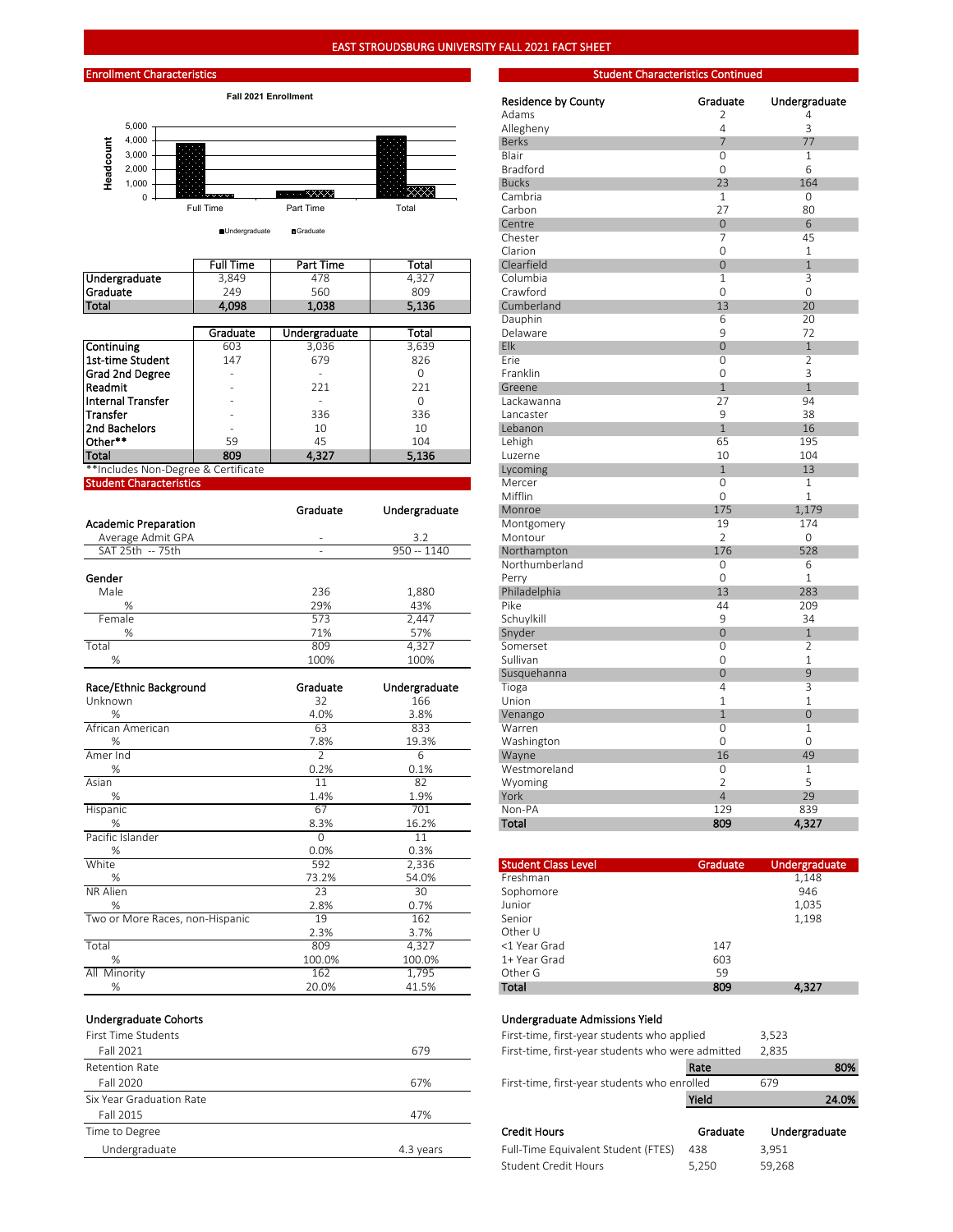





|                      |                  |               |          | Clarion    |          |                |
|----------------------|------------------|---------------|----------|------------|----------|----------------|
|                      | <b>Full Time</b> | Part Time     | Total    | Clearfield | $\Omega$ |                |
| Undergraduate        | 3,849            | 478           | 4,327    | Columbia   |          | 3              |
| <b>Graduate</b>      | 249              | 560           | 809      | Crawford   |          | $\Omega$       |
| Total                | 4,098            | 1,038         | 5,136    | Cumberland | 13       | 2 <sup>c</sup> |
|                      |                  |               |          | Dauphin    | b        | 2 <sup>c</sup> |
|                      | Graduate         | Undergraduate | Total    | Delaware   |          | 72             |
| Continuing           | 603              | 3.036         | 3,639    | Elk        | $\Omega$ |                |
| l 1st-time Student   | 147              | 679           | 826      | Frie       | Ω        |                |
| Grad 2nd Degree      |                  |               | $\Omega$ | Franklin   | 0        |                |
| Readmit              |                  | 221           | 221      | Greene     |          |                |
| Internal Transfer    | -                |               | $\Omega$ | Lackawanna | 27       | 94             |
| Transfer             |                  | 336           | 336      | Lancaster  | 9        | 38             |
| <b>2nd Bachelors</b> |                  | 10            | 10       | Lebanon    |          | 16             |

| _______                          | _____                  | ---- | ------ | --------- | ___ | ---- |
|----------------------------------|------------------------|------|--------|-----------|-----|------|
| **Includes Non-I<br>Degree & u   | $\cdot$<br>Certificate |      |        |           |     | --   |
| Student l<br>.<br>haracteristics |                        |      |        | Mercer    |     |      |
|                                  |                        |      |        | Mifflin   |     |      |

|                             | Graduate | Undergraduate | Monroe         | 175 | 1,1/    |
|-----------------------------|----------|---------------|----------------|-----|---------|
| <b>Academic Preparation</b> |          |               | Montgomery     | 19  | 174     |
| Average Admit GPA           | $\sim$   | 3.2           | Montour        |     | $\circ$ |
| SAT 25th -- 75th            |          | 950 -- 1140   | Northampton    | 176 | 528     |
|                             |          |               | Northumberland |     | 6       |
| Gender                      |          |               | Perry          |     |         |
| Male                        | 236      | 1,880         | Philadelphia   | 13  | 283     |
| %                           | 29%      | 43%           | Pike           | 44  | 209     |
| Female                      | 573      | 2.447         | Schuylkill     |     | 34      |
| %                           | 71%      | 57%           | Snyder         |     |         |
| Total                       | 809      | 4,327         | Somerset       |     |         |
| %                           | 100%     | 100%          | Sullivan       |     |         |

| Race/Ethnic Background          | Graduate | Undergraduate | Tioga                      |          |               |
|---------------------------------|----------|---------------|----------------------------|----------|---------------|
| Unknown                         | 32       | 166           | Union                      |          |               |
| %                               | 4.0%     | 3.8%          | Venango                    |          | $\Omega$      |
| African American                | 63       | 833           | Warren                     |          |               |
| ℅                               | 7.8%     | 19.3%         | Washington                 |          |               |
| Amer Ind                        |          | 6             | Wayne                      | 16       | 49            |
| %                               | 0.2%     | 0.1%          | Westmoreland               |          |               |
| Asian                           | 11       | 82            | Wyoming                    |          |               |
| %                               | 1.4%     | 1.9%          | York                       | 4        | 29            |
| Hispanic                        | 67       | 701           | Non-PA                     | 129      | 839           |
| %                               | 8.3%     | 16.2%         | Total                      | 809      | 4,327         |
| Pacific Islander                | $\Omega$ | 11            |                            |          |               |
| %                               | 0.0%     | 0.3%          |                            |          |               |
| White                           | 592      | 2,336         | <b>Student Class Level</b> | Graduate | Undergraduate |
| %                               | 73.2%    | 54.0%         | Freshman                   |          | 1,148         |
| NR Alien                        | 23       | 30            | Sophomore                  |          | 946           |
| %                               | 2.8%     | 0.7%          | Junior                     |          | 1,035         |
| Two or More Races, non-Hispanic | 19       | 162           | Senior                     |          | 1,198         |
|                                 | 2.3%     | 3.7%          | Other U                    |          |               |
| Total                           | 809      | 4,327         | <1 Year Grad               | 147      |               |
| %                               | 100.0%   | 100.0%        | 1+ Year Grad               | 603      |               |
| All Minority                    | 162      | 1,795         | Other G                    | 59       |               |
| %                               | 20.0%    | 41.5%         | Total                      | 809      | 4,327         |

| First Time Students      |           | First-time, first-year students who applied       |          | 3,523         |
|--------------------------|-----------|---------------------------------------------------|----------|---------------|
| Fall 2021                | 679       | First-time, first-year students who were admitted |          | 2,835         |
| <b>Retention Rate</b>    |           |                                                   | Rate     | 80%           |
| Fall 2020                | 67%       | First-time, first-year students who enrolled      |          | 679           |
| Six Year Graduation Rate |           |                                                   | Yield    | 24.0%         |
| Fall 2015                | 47%       |                                                   |          |               |
| Time to Degree           |           | <b>Credit Hours</b>                               | Graduate | Undergraduate |
| Undergraduate            | 4.3 years | Full-Time Equivalent Student (FTES)               | 438      | 3,951         |

|                                     | Fall 2021 Enrollment |                                      |               | <b>Residence by County</b> | Graduate       | Undergraduate      |
|-------------------------------------|----------------------|--------------------------------------|---------------|----------------------------|----------------|--------------------|
|                                     |                      |                                      |               | Adams                      | $\overline{2}$ | 4                  |
| 5,000                               |                      |                                      |               | Allegheny                  | $\overline{4}$ | 3                  |
| 4,000                               |                      |                                      |               | <b>Berks</b>               | 7              | 77                 |
| 3,000                               |                      |                                      |               | Blair                      | 0              | $\overline{1}$     |
| 2,000                               |                      |                                      |               | <b>Bradford</b>            | $\mathbf 0$    | 6                  |
| Headcount<br>1,000                  |                      |                                      |               | <b>Bucks</b>               | 23             | 164                |
| $\mathbf 0$                         |                      | $\ldots$ . $\mathsf{XXX} \mathsf{X}$ | ⋙             | Cambria                    | $\overline{1}$ | $\overline{0}$     |
|                                     | Full Time            | Part Time                            | Total         | Carbon                     | 27             | 80                 |
|                                     |                      |                                      |               | Centre                     | $\mathbf 0$    | 6                  |
|                                     | <b>Undergraduate</b> | <b>B</b> Graduate                    |               | Chester                    | $\overline{7}$ | 45                 |
|                                     |                      |                                      |               | Clarion                    | $\mathbf 0$    | $\mathbf{1}$       |
|                                     | <b>Full Time</b>     | Part Time                            | Total         | Clearfield                 | $\overline{0}$ | $\mathbf{1}$       |
|                                     |                      | 478                                  |               | Columbia                   | $\mathbf{1}$   |                    |
| Undergraduate<br>Graduate           | 3,849<br>249         | 560                                  | 4,327         |                            | $\mathbf 0$    | 3                  |
|                                     |                      |                                      | 809           | Crawford                   | 13             | $\mathbf{0}$<br>20 |
| Total                               | 4,098                | 1.038                                | 5,136         | Cumberland                 |                |                    |
|                                     |                      |                                      |               | Dauphin                    | 6              | 20                 |
|                                     | Graduate             | Undergraduate                        | Total         | Delaware                   | 9              | 72                 |
| Continuing                          | 603                  | 3,036                                | 3,639         | Elk                        | $\mathbf 0$    | $\mathbf{1}$       |
| 1st-time Student                    | 147                  | 679                                  | 826           | Erie                       | $\mathbf{0}$   | $\overline{2}$     |
| Grad 2nd Degree                     |                      |                                      | $\mathbf{O}$  | Franklin                   | $\mathbf 0$    | 3                  |
| Readmit                             |                      | 221                                  | 221           | Greene                     | $\mathbf{1}$   | $\mathbf{1}$       |
| Internal Transfer                   |                      | ÷.                                   | $\mathbf{O}$  | Lackawanna                 | 27             | 94                 |
| Transfer                            |                      | 336                                  | 336           | Lancaster                  | 9              | 38                 |
| 2nd Bachelors                       |                      | 10                                   | 10            | Lebanon                    | $\mathbf{1}$   | 16                 |
| Other**                             | 59                   | 45                                   | 104           | Lehigh                     | 65             | 195                |
| Total                               | 809                  | 4,327                                | 5,136         | Luzerne                    | 10             | 104                |
| **Includes Non-Degree & Certificate |                      |                                      |               | Lycoming                   | $\overline{1}$ | 13                 |
| <b>Student Characteristics</b>      |                      |                                      |               | Mercer                     | $\mathbf{0}$   | $\mathbf{1}$       |
|                                     |                      |                                      |               | Mifflin                    | $\mathbf 0$    | $\mathbf{1}$       |
|                                     |                      | Graduate                             | Undergraduate | Monroe                     | 175            | 1,179              |
| <b>Academic Preparation</b>         |                      |                                      |               | Montgomery                 | 19             | 174                |
| Average Admit GPA                   |                      |                                      | 3.2           | Montour                    | $\overline{2}$ | $\mathbf{0}$       |
| SAT 25th -- 75th                    |                      |                                      | $950 - 1140$  | Northampton                | 176            | 528                |
|                                     |                      |                                      |               | Northumberland             | $\mathbf{0}$   | 6                  |
| Gender                              |                      |                                      |               | Perry                      | $\mathbf 0$    | $\mathbf{1}$       |
| Male                                |                      | 236                                  | 1,880         | Philadelphia               | 13             | 283                |
| %                                   |                      | 29%                                  | 43%           | Pike                       | 44             | 209                |
| Female                              |                      | 573                                  | 2.447         | Schuylkill                 | 9              | 34                 |
| %                                   |                      | 71%                                  | 57%           | Snyder                     | $\overline{0}$ | $\mathbf{1}$       |
| Total                               |                      | 809                                  | 4,327         | Somerset                   | $\overline{0}$ | $\overline{2}$     |
| $\%$                                |                      | 100%                                 | 100%          | Sullivan                   | $\mathbf 0$    | $\mathbf{1}$       |
|                                     |                      |                                      |               | Susquehanna                | $\overline{0}$ | 9                  |
| Race/Ethnic Background              |                      | Graduate                             | Undergraduate | Tioga                      | $\overline{4}$ | 3                  |
| Unknown                             |                      | 32                                   | 166           | Union                      | $\mathbf{1}$   | $\mathbf{1}$       |
| %                                   |                      | 4.0%                                 | 3.8%          | Venango                    | $\overline{1}$ | $\mathbf 0$        |
| African American                    |                      | 63                                   | 833           | Warren                     | $\mathbf 0$    | 1                  |
| %                                   |                      | 7.8%                                 | 19.3%         | Washington                 | $\mathbf 0$    | 0                  |
| Amer Ind                            |                      | $\overline{2}$                       | 6             | Wayne                      | 16             | 49                 |
| %                                   |                      | 0.2%                                 | 0.1%          | Westmoreland               | $\mathbf 0$    | $\mathbf{1}$       |
| Asian                               |                      | 11                                   | 82            | Wyoming                    | $\overline{2}$ | 5                  |
| %                                   |                      | 1.4%                                 | 1.9%          | York                       | $\overline{4}$ | 29                 |
| <b>Hispanic</b>                     |                      | 67                                   | 701           | Non-PA                     | 129            | 839                |
| %                                   |                      | 8.3%                                 | 16.2%         | Total                      | 809            | 4,327              |
|                                     |                      |                                      |               |                            |                |                    |

| <b>Student Class Level</b> | Graduate   | Undergraduate |
|----------------------------|------------|---------------|
| Freshman                   |            | 1,148         |
| Sophomore                  |            | 946           |
| Junior                     |            | 1,035         |
| Senior                     |            | 1,198         |
| Other U                    |            |               |
| <1 Year Grad               | 147        |               |
| 1+ Year Grad               | 603        |               |
| Other G                    | 59         |               |
| Total                      | <b>RUG</b> | A 377         |

## Undergraduate Cohorts Undergraduate Admissions Yield

| First-time, first-year students who applied       |          | 3,523         |       |
|---------------------------------------------------|----------|---------------|-------|
| First-time, first-year students who were admitted |          | 2,835         |       |
|                                                   | Rate     |               | 80%   |
| First-time, first-year students who enrolled      |          | 679           |       |
|                                                   | Yield    |               | 24.0% |
| <b>Credit Hours</b>                               | Graduate | Undergraduate |       |

| Full-Time Equivalent Student (FTES) 438 |       | 3.951  |
|-----------------------------------------|-------|--------|
| Student Credit Hours                    | 5.250 | 59,268 |